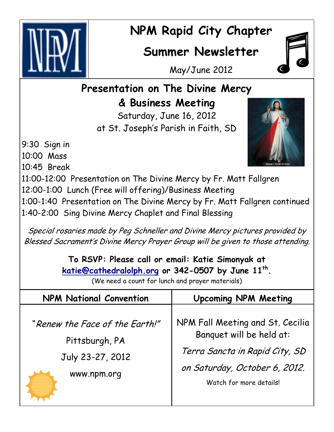

## **NPM Rapid City Chapter**

## **Summer Newsletter**



May/June 2012

## **Presentation on The Divine Mercy & Business Meeting**

Saturday, June 16, 2012 at St. Joseph's Parish in Faith, SD

9:30 Sign in 10:00 Mass 10:45 Break 11:00-12:00 Presentation on The Divine Mercy by Fr. Matt Fallgren 12:00-1:00 Lunch (Free will offering)/Business Meeting 1:00-1:40 Presentation on The Divine Mercy by Fr. Matt Fallgren continued 1:40-2:00 Sing Divine Mercy Chaplet and Final Blessing

Special rosaries made by Peg Schneller and Divine Mercy pictures provided by Blessed Sacrament's Divine Mercy Prayer Group will be given to those attending.

> **To RSVP: Please call or email: Katie Simonyak at [katie@cathedralolph.org](mailto:Katie@cathedralolph.org) or 342-0507 by June 11th .**

> > (We need a count for lunch and prayer materials)

| <b>NPM National Convention</b>                                                      | <b>Upcoming NPM Meeting</b>                                                                                                                                |
|-------------------------------------------------------------------------------------|------------------------------------------------------------------------------------------------------------------------------------------------------------|
| "Renew the Face of the Earth!"<br>Pittsburgh, PA<br>July 23-27, 2012<br>www.npm.org | NPM Fall Meeting and St. Cecilia<br>Banquet will be held at:<br>Terra Sancta in Rapid City, SD<br>on Saturday, October 6, 2012.<br>Watch for more details! |